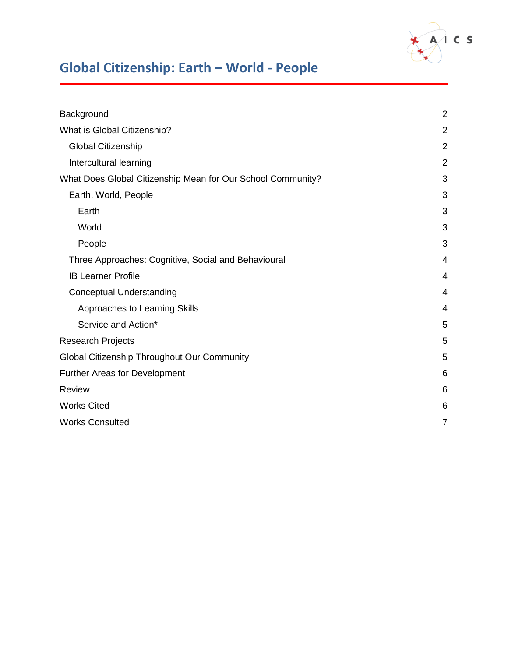

| Background                                                  | $\overline{2}$ |
|-------------------------------------------------------------|----------------|
| What is Global Citizenship?                                 | $\overline{2}$ |
| <b>Global Citizenship</b>                                   | $\overline{2}$ |
| Intercultural learning                                      | $\overline{2}$ |
| What Does Global Citizenship Mean for Our School Community? | 3              |
| Earth, World, People                                        | 3              |
| Earth                                                       | 3              |
| World                                                       | 3              |
| People                                                      | 3              |
| Three Approaches: Cognitive, Social and Behavioural         | 4              |
| <b>IB Learner Profile</b>                                   | 4              |
| <b>Conceptual Understanding</b>                             | 4              |
| Approaches to Learning Skills                               | 4              |
| Service and Action*                                         | 5              |
| <b>Research Projects</b>                                    | 5              |
| Global Citizenship Throughout Our Community                 | 5              |
| Further Areas for Development                               | 6              |
| <b>Review</b>                                               | 6              |
| <b>Works Cited</b>                                          | 6              |
| <b>Works Consulted</b>                                      | 7              |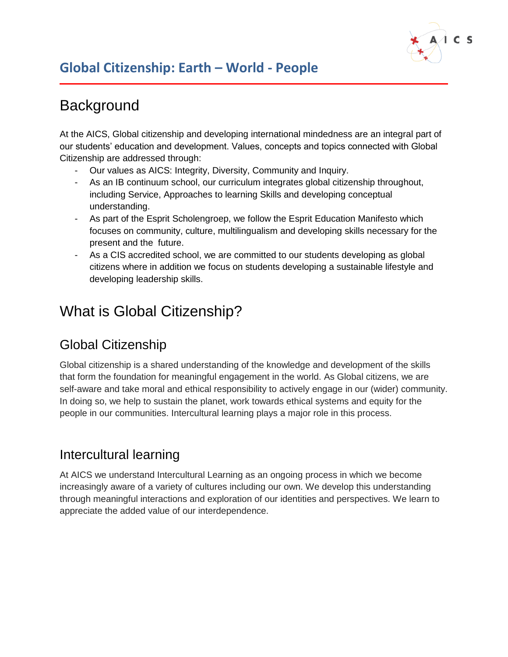

# <span id="page-1-0"></span>**Background**

At the AICS, Global citizenship and developing international mindedness are an integral part of our students' education and development. Values, concepts and topics connected with Global Citizenship are addressed through:

- Our values as AICS: Integrity, Diversity, Community and Inquiry.
- As an IB continuum school, our curriculum integrates global citizenship throughout, including Service, Approaches to learning Skills and developing conceptual understanding.
- As part of the Esprit Scholengroep, we follow the Esprit Education Manifesto which focuses on community, culture, multilingualism and developing skills necessary for the present and the future.
- As a CIS accredited school, we are committed to our students developing as global citizens where in addition we focus on students developing a sustainable lifestyle and developing leadership skills.

# <span id="page-1-1"></span>What is Global Citizenship?

## <span id="page-1-2"></span>Global Citizenship

Global citizenship is a shared understanding of the knowledge and development of the skills that form the foundation for meaningful engagement in the world. As Global citizens, we are self-aware and take moral and ethical responsibility to actively engage in our (wider) community. In doing so, we help to sustain the planet, work towards ethical systems and equity for the people in our communities. Intercultural learning plays a major role in this process.

### <span id="page-1-3"></span>Intercultural learning

At AICS we understand Intercultural Learning as an ongoing process in which we become increasingly aware of a variety of cultures including our own. We develop this understanding through meaningful interactions and exploration of our identities and perspectives. We learn to appreciate the added value of our interdependence.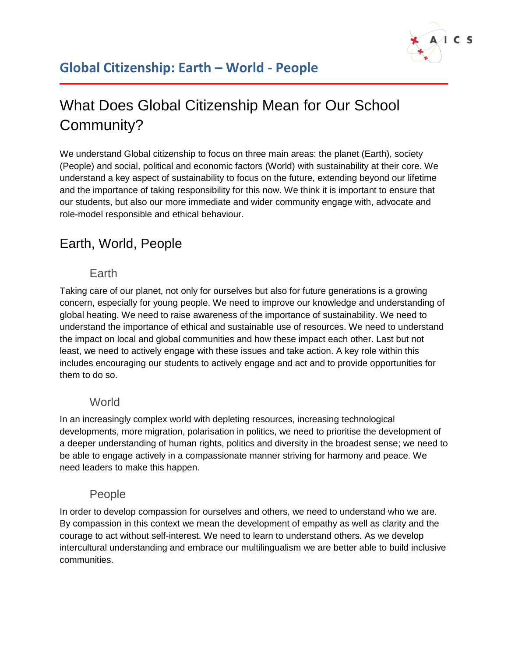

# <span id="page-2-0"></span>What Does Global Citizenship Mean for Our School Community?

We understand Global citizenship to focus on three main areas: the planet (Earth), society (People) and social, political and economic factors (World) with sustainability at their core. We understand a key aspect of sustainability to focus on the future, extending beyond our lifetime and the importance of taking responsibility for this now. We think it is important to ensure that our students, but also our more immediate and wider community engage with, advocate and role-model responsible and ethical behaviour.

## <span id="page-2-2"></span><span id="page-2-1"></span>Earth, World, People

#### Earth

Taking care of our planet, not only for ourselves but also for future generations is a growing concern, especially for young people. We need to improve our knowledge and understanding of global heating. We need to raise awareness of the importance of sustainability. We need to understand the importance of ethical and sustainable use of resources. We need to understand the impact on local and global communities and how these impact each other. Last but not least, we need to actively engage with these issues and take action. A key role within this includes encouraging our students to actively engage and act and to provide opportunities for them to do so.

#### **World**

<span id="page-2-3"></span>In an increasingly complex world with depleting resources, increasing technological developments, more migration, polarisation in politics, we need to prioritise the development of a deeper understanding of human rights, politics and diversity in the broadest sense; we need to be able to engage actively in a compassionate manner striving for harmony and peace. We need leaders to make this happen.

#### People

<span id="page-2-4"></span>In order to develop compassion for ourselves and others, we need to understand who we are. By compassion in this context we mean the development of empathy as well as clarity and the courage to act without self-interest. We need to learn to understand others. As we develop intercultural understanding and embrace our multilingualism we are better able to build inclusive communities.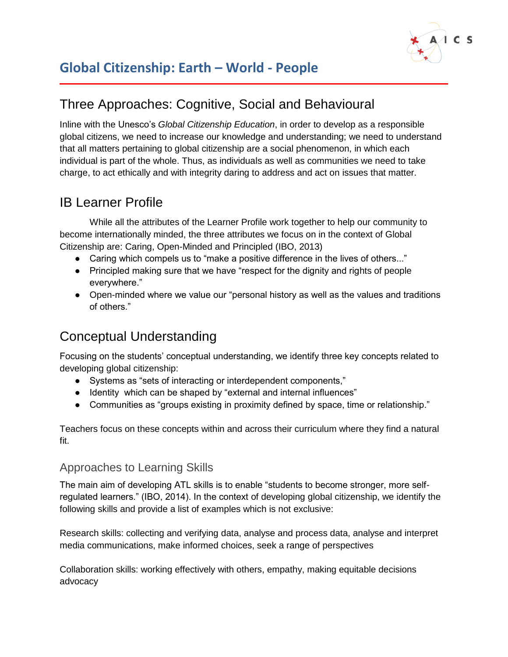

### <span id="page-3-0"></span>Three Approaches: Cognitive, Social and Behavioural

Inline with the Unesco's *Global Citizenship Education*, in order to develop as a responsible global citizens, we need to increase our knowledge and understanding; we need to understand that all matters pertaining to global citizenship are a social phenomenon, in which each individual is part of the whole. Thus, as individuals as well as communities we need to take charge, to act ethically and with integrity daring to address and act on issues that matter.

### <span id="page-3-1"></span>IB Learner Profile

While all the attributes of the Learner Profile work together to help our community to become internationally minded, the three attributes we focus on in the context of Global Citizenship are: Caring, Open-Minded and Principled (IBO, 2013)

- Caring which compels us to "make a positive difference in the lives of others..."
- Principled making sure that we have "respect for the dignity and rights of people everywhere."
- Open-minded where we value our "personal history as well as the values and traditions of others."

### <span id="page-3-2"></span>Conceptual Understanding

Focusing on the students' conceptual understanding, we identify three key concepts related to developing global citizenship:

- Systems as "sets of interacting or interdependent components,"
- Identity which can be shaped by "external and internal influences"
- Communities as "groups existing in proximity defined by space, time or relationship."

Teachers focus on these concepts within and across their curriculum where they find a natural fit.

#### <span id="page-3-3"></span>Approaches to Learning Skills

The main aim of developing ATL skills is to enable "students to become stronger, more selfregulated learners." (IBO, 2014). In the context of developing global citizenship, we identify the following skills and provide a list of examples which is not exclusive:

Research skills: collecting and verifying data, analyse and process data, analyse and interpret media communications, make informed choices, seek a range of perspectives

Collaboration skills: working effectively with others, empathy, making equitable decisions advocacy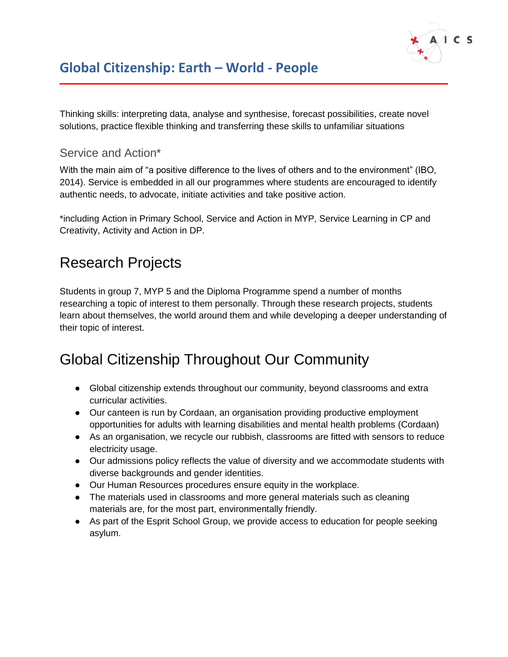

Thinking skills: interpreting data, analyse and synthesise, forecast possibilities, create novel solutions, practice flexible thinking and transferring these skills to unfamiliar situations

#### <span id="page-4-0"></span>Service and Action\*

With the main aim of "a positive difference to the lives of others and to the environment" (IBO, 2014). Service is embedded in all our programmes where students are encouraged to identify authentic needs, to advocate, initiate activities and take positive action.

\*including Action in Primary School, Service and Action in MYP, Service Learning in CP and Creativity, Activity and Action in DP.

# <span id="page-4-1"></span>Research Projects

Students in group 7, MYP 5 and the Diploma Programme spend a number of months researching a topic of interest to them personally. Through these research projects, students learn about themselves, the world around them and while developing a deeper understanding of their topic of interest.

# <span id="page-4-2"></span>Global Citizenship Throughout Our Community

- Global citizenship extends throughout our community, beyond classrooms and extra curricular activities.
- Our canteen is run by Cordaan, an organisation providing productive employment opportunities for adults with learning disabilities and mental health problems (Cordaan)
- As an organisation, we recycle our rubbish, classrooms are fitted with sensors to reduce electricity usage.
- Our admissions policy reflects the value of diversity and we accommodate students with diverse backgrounds and gender identities.
- Our Human Resources procedures ensure equity in the workplace.
- The materials used in classrooms and more general materials such as cleaning materials are, for the most part, environmentally friendly.
- As part of the Esprit School Group, we provide access to education for people seeking asylum.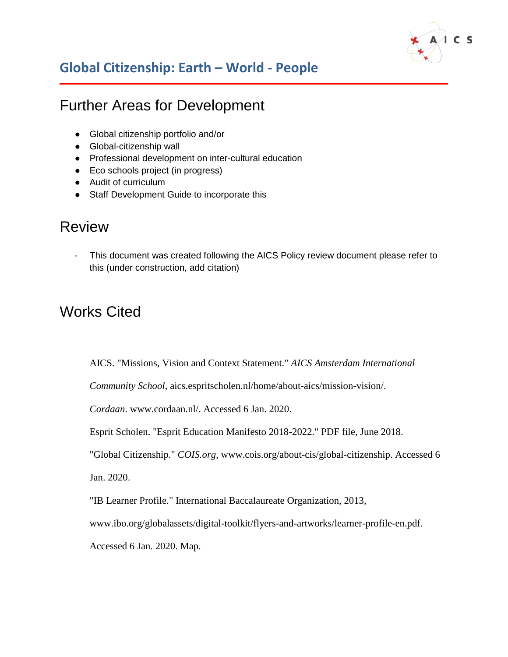

## <span id="page-5-0"></span>Further Areas for Development

- Global citizenship portfolio and/or
- Global-citizenship wall
- Professional development on inter-cultural education
- Eco schools project (in progress)
- Audit of curriculum
- Staff Development Guide to incorporate this

### <span id="page-5-1"></span>Review

This document was created following the AICS Policy review document please refer to this (under construction, add citation)

## <span id="page-5-2"></span>Works Cited

AICS. "Missions, Vision and Context Statement." *AICS Amsterdam International* 

*Community School*, aics.espritscholen.nl/home/about-aics/mission-vision/.

*Cordaan*. www.cordaan.nl/. Accessed 6 Jan. 2020.

Esprit Scholen. "Esprit Education Manifesto 2018-2022." PDF file, June 2018.

"Global Citizenship." *COIS.org*, www.cois.org/about-cis/global-citizenship. Accessed 6

Jan. 2020.

"IB Learner Profile." International Baccalaureate Organization, 2013,

www.ibo.org/globalassets/digital-toolkit/flyers-and-artworks/learner-profile-en.pdf.

Accessed 6 Jan. 2020. Map.